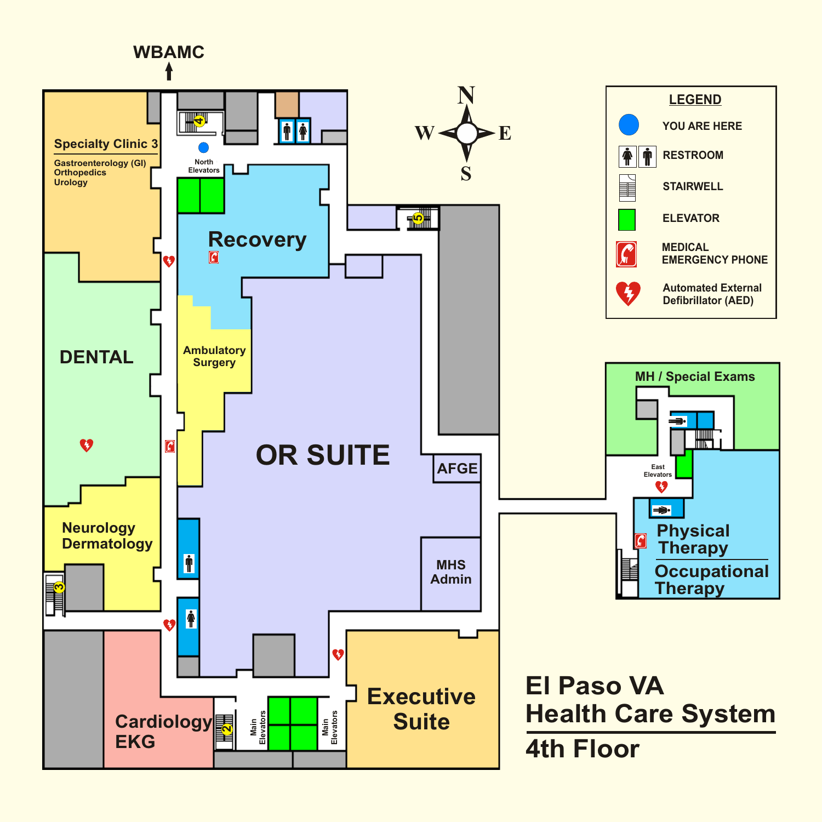# **WBAMC**

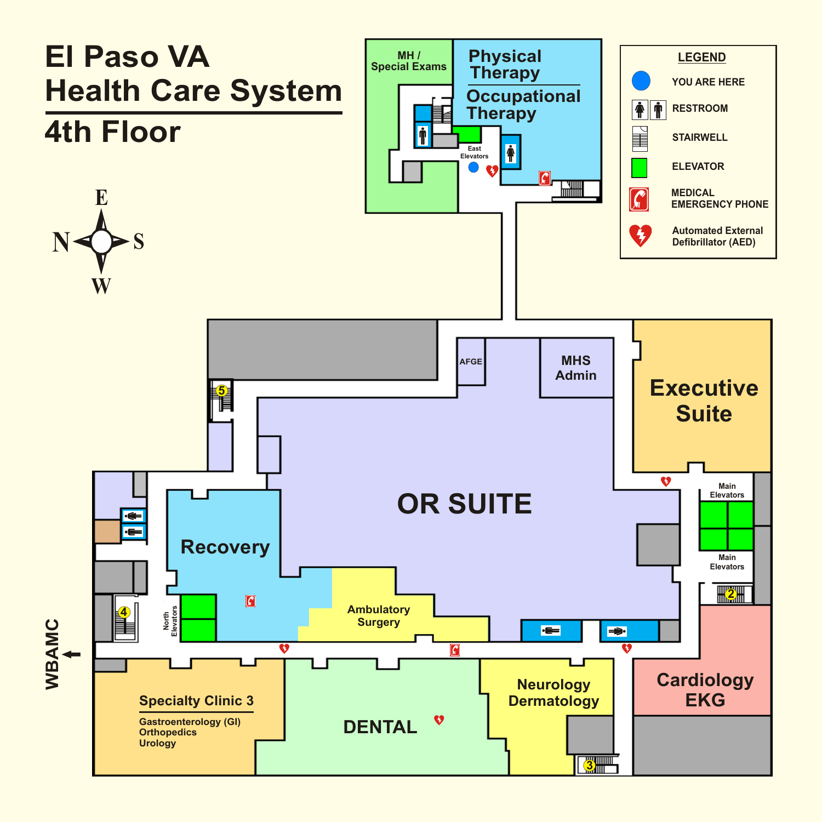## **El Paso VA Health Care System**

### **4th Floor**